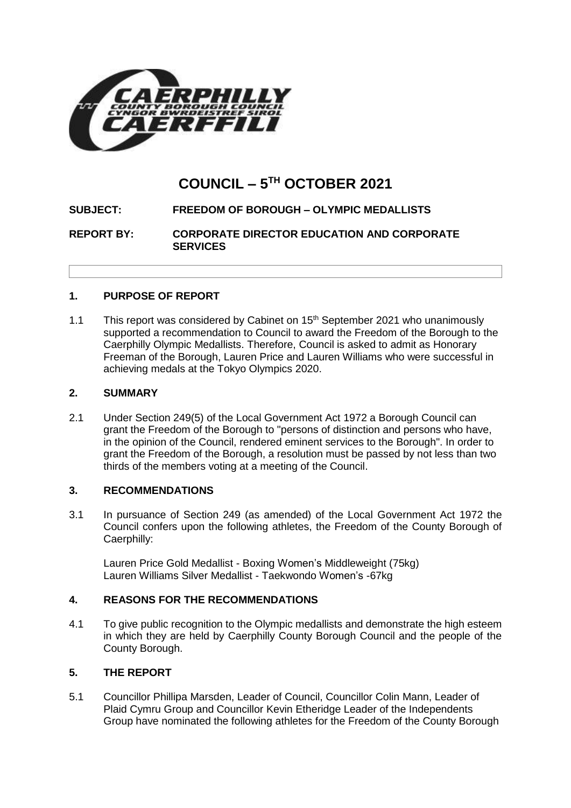

## **COUNCIL – 5 TH OCTOBER 2021**

# **SUBJECT: FREEDOM OF BOROUGH – OLYMPIC MEDALLISTS**

**REPORT BY: CORPORATE DIRECTOR EDUCATION AND CORPORATE SERVICES**

## **1. PURPOSE OF REPORT**

1.1 This report was considered by Cabinet on  $15<sup>th</sup>$  September 2021 who unanimously supported a recommendation to Council to award the Freedom of the Borough to the Caerphilly Olympic Medallists. Therefore, Council is asked to admit as Honorary Freeman of the Borough, Lauren Price and Lauren Williams who were successful in achieving medals at the Tokyo Olympics 2020.

## **2. SUMMARY**

2.1 Under Section 249(5) of the Local Government Act 1972 a Borough Council can grant the Freedom of the Borough to "persons of distinction and persons who have, in the opinion of the Council, rendered eminent services to the Borough". In order to grant the Freedom of the Borough, a resolution must be passed by not less than two thirds of the members voting at a meeting of the Council.

## **3. RECOMMENDATIONS**

3.1 In pursuance of Section 249 (as amended) of the Local Government Act 1972 the Council confers upon the following athletes, the Freedom of the County Borough of Caerphilly:

Lauren Price Gold Medallist - Boxing Women's Middleweight (75kg) Lauren Williams Silver Medallist - Taekwondo Women's -67kg

## **4. REASONS FOR THE RECOMMENDATIONS**

4.1 To give public recognition to the Olympic medallists and demonstrate the high esteem in which they are held by Caerphilly County Borough Council and the people of the County Borough.

## **5. THE REPORT**

5.1 Councillor Phillipa Marsden, Leader of Council, Councillor Colin Mann, Leader of Plaid Cymru Group and Councillor Kevin Etheridge Leader of the Independents Group have nominated the following athletes for the Freedom of the County Borough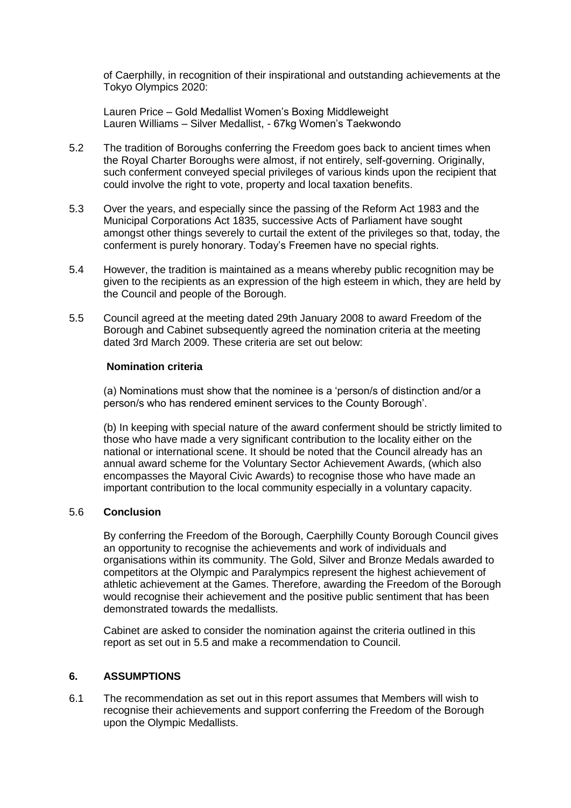of Caerphilly, in recognition of their inspirational and outstanding achievements at the Tokyo Olympics 2020:

Lauren Price – Gold Medallist Women's Boxing Middleweight Lauren Williams – Silver Medallist, - 67kg Women's Taekwondo

- 5.2 The tradition of Boroughs conferring the Freedom goes back to ancient times when the Royal Charter Boroughs were almost, if not entirely, self-governing. Originally, such conferment conveyed special privileges of various kinds upon the recipient that could involve the right to vote, property and local taxation benefits.
- 5.3 Over the years, and especially since the passing of the Reform Act 1983 and the Municipal Corporations Act 1835, successive Acts of Parliament have sought amongst other things severely to curtail the extent of the privileges so that, today, the conferment is purely honorary. Today's Freemen have no special rights.
- 5.4 However, the tradition is maintained as a means whereby public recognition may be given to the recipients as an expression of the high esteem in which, they are held by the Council and people of the Borough.
- 5.5 Council agreed at the meeting dated 29th January 2008 to award Freedom of the Borough and Cabinet subsequently agreed the nomination criteria at the meeting dated 3rd March 2009. These criteria are set out below:

#### **Nomination criteria**

(a) Nominations must show that the nominee is a 'person/s of distinction and/or a person/s who has rendered eminent services to the County Borough'.

(b) In keeping with special nature of the award conferment should be strictly limited to those who have made a very significant contribution to the locality either on the national or international scene. It should be noted that the Council already has an annual award scheme for the Voluntary Sector Achievement Awards, (which also encompasses the Mayoral Civic Awards) to recognise those who have made an important contribution to the local community especially in a voluntary capacity.

#### 5.6 **Conclusion**

By conferring the Freedom of the Borough, Caerphilly County Borough Council gives an opportunity to recognise the achievements and work of individuals and organisations within its community. The Gold, Silver and Bronze Medals awarded to competitors at the Olympic and Paralympics represent the highest achievement of athletic achievement at the Games. Therefore, awarding the Freedom of the Borough would recognise their achievement and the positive public sentiment that has been demonstrated towards the medallists.

Cabinet are asked to consider the nomination against the criteria outlined in this report as set out in 5.5 and make a recommendation to Council.

## **6. ASSUMPTIONS**

6.1 The recommendation as set out in this report assumes that Members will wish to recognise their achievements and support conferring the Freedom of the Borough upon the Olympic Medallists.